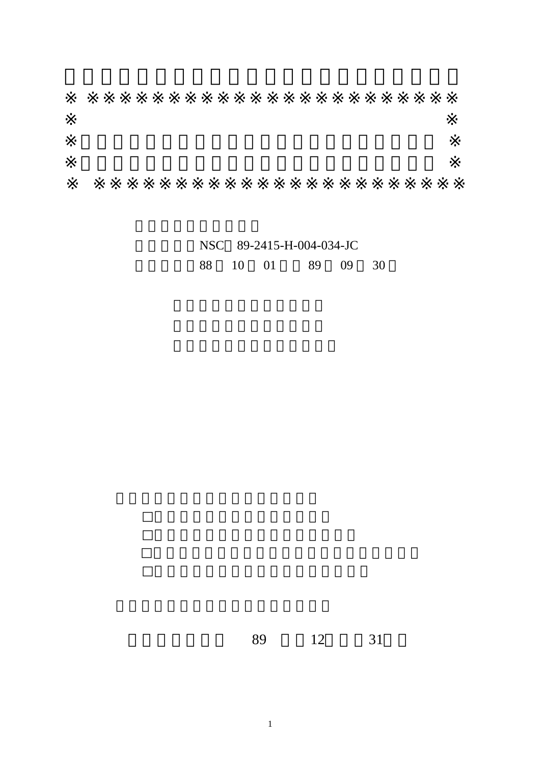|  | NSC 89-2415-H-004-034-JC |  |                   |  |  |  |
|--|--------------------------|--|-------------------|--|--|--|
|  |                          |  | 88 10 01 89 09 30 |  |  |  |

89 12 31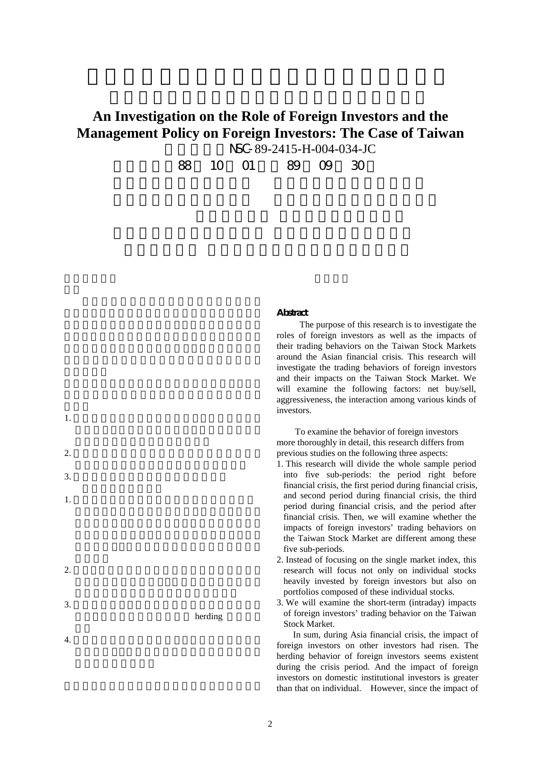# **An Investigation on the Role of Foreign Investors and the Management Policy on Foreign Investors: The Case of Taiwan** NSC-89-2415-H-004-034-JC

88 10 01 89 09 30

#### **Abstract**

 The purpose of this research is to investigate the roles of foreign investors as well as the impacts of their trading behaviors on the Taiwan Stock Markets around the Asian financial crisis. This research will investigate the trading behaviors of foreign investors and their impacts on the Taiwan Stock Market. We will examine the following factors: net buy/sell, aggressiveness, the interaction among various kinds of investors.

 To examine the behavior of foreign investors more thoroughly in detail, this research differs from previous studies on the following three aspects:

- 1. This research will divide the whole sample period into five sub-periods: the period right before financial crisis, the first period during financial crisis, and second period during financial crisis, the third period during financial crisis, and the period after financial crisis. Then, we will examine whether the impacts of foreign investors' trading behaviors on the Taiwan Stock Market are different among these five sub-periods.
- 2. Instead of focusing on the single market index, this research will focus not only on individual stocks heavily invested by foreign investors but also on portfolios composed of these individual stocks.
- 3. We will examine the short-term (intraday) impacts of foreign investors' trading behavior on the Taiwan Stock Market.

In sum, during Asia financial crisis, the impact of foreign investors on other investors had risen. The herding behavior of foreign investors seems existent during the crisis period. And the impact of foreign investors on domestic institutional investors is greater than that on individual. However, since the impact of

 $1.$ 

 $2.$ 

- 
- $3.$

herding

 $2.$ 

1.  $\blacksquare$ 

 $3.$ 

 $4.$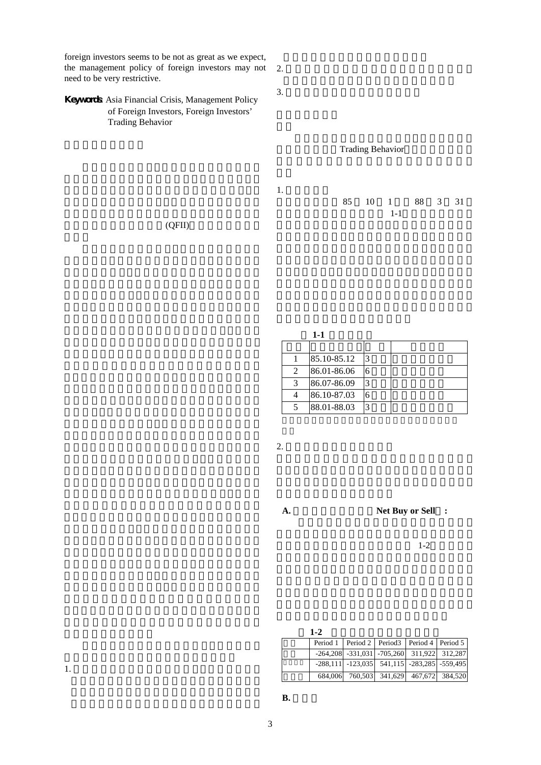foreign investors seems to be not as great as we expect, the management policy of foreign investors may not need to be very restrictive.  $2.$ 

# Keywords Asia Financial Crisis, Management Policy of Foreign Investors, Foreign Investors' Trading Behavior

Trading Behavior

 $3.$ 

1. 資料來源

85 10 1 88 3 31  $1-1$ 

 $(QFII)$ 

| 85.10-85.12 | 13 |  |
|-------------|----|--|
| 86.01-86.06 | 6  |  |
| 86.07-86.09 | 3  |  |
| 86.10-87.03 | 6  |  |
| 88.01-88.03 | 3  |  |

 $2.$ 

**A.** 淨委買或是淨委賣 **Net Buy or Sell :**

 $1-2$ 

**1-2** 外資平均淨委買(賣)金額

|  | Period 1   Period 2   Period 3   Period 4   Period 5  |  |  |
|--|-------------------------------------------------------|--|--|
|  | $-264,208$ $-331,031$ $-705,260$ $311,922$ $312,287$  |  |  |
|  | $-288,111$ $-123,035$ $541,115$ $-283,285$ $-559,495$ |  |  |
|  | 684,006 760,503 341,629 467,672 384,520               |  |  |

1.  $\blacksquare$ 

 $B.$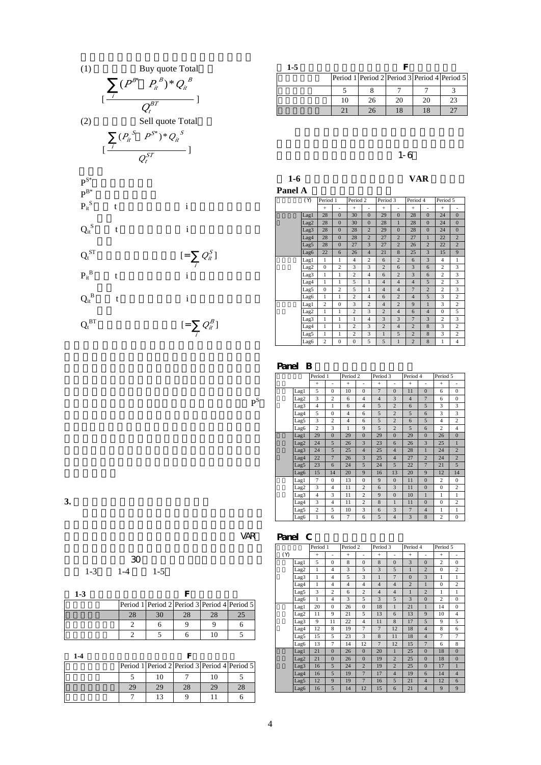

| $1-5$ |    |                                              |    |    |  |  |  |  |
|-------|----|----------------------------------------------|----|----|--|--|--|--|
|       |    | Period 1 Period 2 Period 3 Period 4 Period 5 |    |    |  |  |  |  |
|       |    |                                              |    |    |  |  |  |  |
|       | 10 | 26                                           | 20 | 20 |  |  |  |  |
|       |    |                                              | 18 |    |  |  |  |  |

### $\sim$  1-6

| $1-6$ | <b>VAR</b> |
|-------|------------|
|       |            |

**Panel A** 

|  | (Y)  | Period 1       |                | Period 2<br>Period 3 |                | Period 4       |                | Period 5       |                |                |                |
|--|------|----------------|----------------|----------------------|----------------|----------------|----------------|----------------|----------------|----------------|----------------|
|  |      | $\ddot{}$      | ٠              | $+$                  | ٠              | $+$            | ٠              | $+$            | ۰              | $+$            | ٠              |
|  | Lag1 | 28             | $\mathbf{0}$   | 30                   | $\mathbf{0}$   | 29             | $\mathbf{0}$   | 28             | $\mathbf{0}$   | 24             | $\mathbf{0}$   |
|  | Lag2 | 28             | $\overline{0}$ | 30                   | $\overline{0}$ | 28             | $\mathbf{1}$   | 28             | $\overline{0}$ | 24             | $\overline{0}$ |
|  | Lag3 | 28             | $\Omega$       | 28                   | $\overline{2}$ | 29             | $\mathbf{0}$   | 28             | $\overline{0}$ | 24             | $\Omega$       |
|  | Lag4 | 28             | $\Omega$       | 28                   | $\overline{2}$ | 27             | $\overline{2}$ | 27             | $\mathbf{1}$   | 22             | $\overline{2}$ |
|  | Lag5 | 28             | $\Omega$       | 27                   | 3              | 27             | $\overline{2}$ | 26             | $\overline{2}$ | 22             | $\overline{2}$ |
|  | Lag6 | 22             | 6              | 26                   | $\overline{4}$ | 21             | $\overline{8}$ | 25             | 3              | 15             | 9              |
|  | Lag1 | 1              | 1              | $\overline{4}$       | $\overline{c}$ | 6              | $\overline{2}$ | 6              | 3              | $\overline{4}$ | 1              |
|  | Lag2 | $\mathbf{0}$   | $\overline{c}$ | 3                    | 3              | $\overline{2}$ | 6              | 3              | 6              | $\overline{c}$ | 3              |
|  | Lag3 | 1              | 1              | $\overline{c}$       | $\overline{4}$ | 6              | $\overline{2}$ | 3              | 6              | $\overline{c}$ | 3              |
|  | Lag4 | 1              | 1              | 5                    | $\mathbf{1}$   | $\overline{4}$ | $\overline{4}$ | $\overline{4}$ | 5              | $\overline{c}$ | 3              |
|  | Lag5 | $\mathbf{0}$   | $\overline{c}$ | 5                    | $\mathbf{1}$   | $\overline{4}$ | $\overline{4}$ | $\overline{7}$ | $\overline{2}$ | $\overline{c}$ | 3              |
|  | Lag6 | $\mathbf{1}$   | $\mathbf{1}$   | $\overline{c}$       | $\overline{4}$ | 6              | $\overline{c}$ | $\overline{4}$ | 5              | 3              | $\overline{c}$ |
|  | Lagl | $\overline{c}$ | $\mathbf{0}$   | 3                    | $\overline{2}$ | $\overline{4}$ | $\overline{2}$ | 9              | $\mathbf{1}$   | 3              | $\overline{c}$ |
|  | Lag2 | 1              | 1              | $\overline{c}$       | 3              | $\overline{2}$ | $\overline{4}$ | 6              | $\overline{4}$ | $\Omega$       | 5              |
|  | Lag3 | 1              | 1              | $\mathbf{1}$         | $\overline{4}$ | 3              | 3              | $\overline{7}$ | 3              | $\overline{c}$ | 3              |
|  | Lag4 | $\mathbf{1}$   | 1              | $\overline{2}$       | 3              | $\overline{2}$ | $\overline{4}$ | $\overline{2}$ | 8              | 3              | $\overline{c}$ |
|  | Lag5 | 1              | 1              | $\overline{2}$       | 3              | 1              | 5              | $\overline{2}$ | 8              | 3              | 2              |
|  | Lag6 | $\overline{c}$ | $\theta$       | $\overline{0}$       | 5              | 5              | $\mathbf{1}$   | $\overline{2}$ | 8              | 1              | $\overline{4}$ |

# Panel B

| Period 1 |                  |                | Period <sub>2</sub> |                | Period 3       |                | Period 4       |                | Period 5       |                |                |
|----------|------------------|----------------|---------------------|----------------|----------------|----------------|----------------|----------------|----------------|----------------|----------------|
|          |                  | $+$            | ٠                   | $+$            | ٠              | $+$            | ٠              | $+$            | ÷,             | $+$            | ۰              |
|          | Lag1             | 5              | $\mathbf{0}$        | 10             | $\mathbf{0}$   | $\overline{7}$ | $\mathbf{0}$   | 11             | $\mathbf{0}$   | 6              | $\mathbf{0}$   |
|          | Lag <sub>2</sub> | 3              | $\overline{c}$      | 6              | $\overline{4}$ | $\overline{4}$ | 3              | $\overline{4}$ | $\overline{7}$ | 6              | $\mathbf{0}$   |
|          | Lag3             | $\overline{4}$ | $\mathbf{1}$        | 6              | $\overline{4}$ | 5              | $\overline{2}$ | 6              | 5              | 3              | 3              |
|          | Lag4             | 5              | $\overline{0}$      | $\overline{4}$ | 6              | 5              | $\overline{2}$ | 5              | 6              | 3              | 3              |
|          | Lag5             | 3              | $\overline{c}$      | $\overline{4}$ | 6              | 5              | $\overline{2}$ | 6              | 5              | 4              | $\overline{c}$ |
|          | Lag6             | $\overline{c}$ | 3                   | $\mathbf{1}$   | $\mathbf{Q}$   | 5              | $\overline{2}$ | 5              | 6              | $\overline{c}$ | $\overline{4}$ |
|          | Lag1             | 29             | $\Omega$            | 29             | $\Omega$       | 29             | $\Omega$       | 29             | $\Omega$       | 26             | $\overline{0}$ |
|          | Lag <sub>2</sub> | 24             | 5                   | 26             | $\overline{3}$ | 23             | 6              | 26             | 3              | 25             | $\mathbf{1}$   |
|          | Lag3             | 24             | 5                   | 25             | $\overline{4}$ | 25             | $\overline{4}$ | 28             | 1              | 24             | $\overline{2}$ |
|          | Lag4             | 22             | $\overline{7}$      | 26             | $\overline{3}$ | 25             | $\overline{4}$ | 27             | $\overline{2}$ | 24             | $\overline{2}$ |
|          | Lag5             | 23             | 6                   | 24             | 5              | 24             | 5              | 22             | $\overline{7}$ | 21             | 5              |
|          | Lag6             | 15             | 14                  | 20             | 9              | 16             | 13             | 20             | 9              | 12             | 14             |
|          | Lag1             | $\overline{7}$ | $\overline{0}$      | 13             | $\overline{0}$ | 9              | $\overline{0}$ | 11             | $\overline{0}$ | $\overline{c}$ | $\mathbf{0}$   |
|          | Lag2             | 3              | $\overline{4}$      | 11             | $\overline{c}$ | 6              | 3              | 11             | $\Omega$       | $\mathbf{0}$   | $\overline{c}$ |
|          | Lag3             | $\overline{4}$ | 3                   | 11             | $\overline{c}$ | $\overline{9}$ | $\Omega$       | 10             | 1              | 1              | 1              |
|          | Lag4             | 3              | $\overline{4}$      | 11             | $\overline{2}$ | 8              | $\mathbf{1}$   | 11             | $\Omega$       | $\mathbf{0}$   | $\overline{c}$ |
|          | Lag5             | $\overline{c}$ | 5                   | 10             | 3              | 6              | 3              | $\overline{7}$ | $\overline{4}$ | 1              | 1              |
|          | Lag6             | 1              | 6                   | $\overline{7}$ | 6              | 5              | $\overline{4}$ | 3              | 8              | $\overline{c}$ | $\mathbf{0}$   |

**3.** 各類投資人下單積極性的因果關係

 $\overline{X}$  variable  $\overline{Y}$  variable  $\overline{Y}$ 

 $P^S$ 

| - 30              |  |  |
|-------------------|--|--|
| $1-3$ $1-4$ $1-5$ |  |  |

| $1 - 3$ |    |                                              |    |    |  |
|---------|----|----------------------------------------------|----|----|--|
|         |    | Period 1 Period 2 Period 3 Period 4 Period 5 |    |    |  |
|         | 28 |                                              | 28 | 28 |  |
|         |    |                                              |    |    |  |
|         |    |                                              |    | 10 |  |

價的委賣單視為最積極,於是以新進委賣價格 P

**1-4** 以國內法人積極性為應變數的 F 值顯著次數表

|    | Period 1 Period 2 Period 3 Period 4 Period 5 |    |    |  |
|----|----------------------------------------------|----|----|--|
|    |                                              |    |    |  |
| 29 | 29                                           | 28 | οq |  |
|    |                                              |    |    |  |

# Panel C

|     |      | Period 1<br>Period <sub>2</sub> |                |                | Period 3       |                | Period 4       |                | Period 5       |                |                |
|-----|------|---------------------------------|----------------|----------------|----------------|----------------|----------------|----------------|----------------|----------------|----------------|
| (Y) |      | $^{+}$                          | ٠              | $+$            | ۰              | $+$            | ۰              | $\ddot{}$      | ۰              | $\ddot{}$      |                |
|     | Lag1 | 5                               | $\theta$       | 8              | $\overline{0}$ | 8              | $\overline{0}$ | 3              | $\overline{0}$ | $\overline{c}$ | $\mathbf{0}$   |
|     | Lag2 | 1                               | $\overline{4}$ | 3              | 5              | 3              | 5              | $\mathbf{1}$   | $\overline{2}$ | $\mathbf{0}$   | $\overline{c}$ |
|     | Lag3 | 1                               | $\overline{4}$ | 5              | 3              | $\mathbf{1}$   | $\overline{7}$ | $\Omega$       | 3              | $\mathbf{1}$   | 1              |
|     | Lag4 | 1                               | $\overline{4}$ | $\overline{4}$ | $\overline{4}$ | $\overline{4}$ | $\overline{4}$ | $\overline{2}$ | $\overline{1}$ | $\overline{0}$ | $\overline{c}$ |
|     | Lag5 | 3                               | $\overline{c}$ | 6              | $\overline{c}$ | $\overline{4}$ | $\overline{4}$ | $\mathbf{1}$   | $\overline{2}$ | $\mathbf{1}$   | $\mathbf{1}$   |
|     | Lag6 | $\mathbf{1}$                    | $\overline{4}$ | 3              | 5              | 3              | 5              | 3              | $\overline{0}$ | $\overline{c}$ | $\mathbf{0}$   |
|     | Lag1 | 20                              | $\overline{0}$ | 26             | $\overline{0}$ | 18             | 1              | 21             | $\mathbf{1}$   | 14             | $\mathbf{0}$   |
|     | Lag2 | 11                              | 9              | 21             | 5              | 13             | 6              | 13             | 9              | 10             | $\overline{4}$ |
|     | Lag3 | 9                               | 11             | 22             | $\overline{4}$ | 11             | 8              | 17             | 5              | 9              | 5              |
|     | Lag4 | 12                              | 8              | 19             | $\overline{7}$ | $\overline{7}$ | 12             | 18             | $\overline{4}$ | 8              | 6              |
|     | Lag5 | 15                              | 5              | 23             | 3              | 8              | 11             | 18             | $\overline{4}$ | 7              | 7              |
|     | Lag6 | 13                              | $\overline{7}$ | 14             | 12             | $\overline{7}$ | 12             | 15             | $\overline{7}$ | 6              | 8              |
|     | Lag1 | 21                              | $\overline{0}$ | 26             | $\overline{0}$ | 20             | 1              | 25             | $\overline{0}$ | 18             | $\overline{0}$ |
|     | Lag2 | 21                              | $\overline{0}$ | 26             | $\overline{0}$ | 19             | $\overline{2}$ | 25             | $\overline{0}$ | 18             | $\overline{0}$ |
|     | Lag3 | 16                              | 5              | 24             | $\overline{2}$ | 19             | $\overline{2}$ | 25             | $\overline{0}$ | 17             | 1              |
|     | Lag4 | 16                              | $\overline{5}$ | 19             | $\overline{7}$ | 17             | $\overline{4}$ | 19             | 6              | 14             | $\overline{4}$ |
|     | Lag5 | 12                              | 9              | 19             | $\overline{7}$ | 16             | 5              | 21             | $\overline{4}$ | 12             | 6              |
|     | Lag6 | 16                              | 5              | 14             | 12             | 15             | 6              | 21             | $\overline{4}$ | 9              | 9              |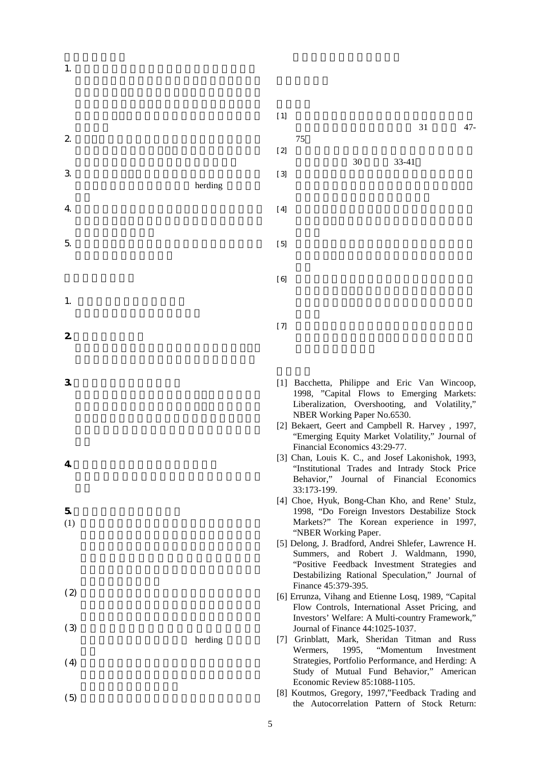1.  $\blacksquare$ 

- $2 \angle$
- $3.$
- herding  $4.$
- $5.$
- 1.  $\blacksquare$
- 2. 達成預期目標情況
- $3 \thickapprox 3$
- 
- 4. 是否適合在學術期刊發表或申請專利
- $5.$
- $(1)$
- 
- $(2)$
- $(3)$ herding
- $(4)$
- $(5)$
- $[1]$  $31$  ,  $47-$ 75  $[2]$ 30 33-41  $[3]$  $[4]$  $[5]$  $[6]$  $[7]$
- [1] Bacchetta, Philippe and Eric Van Wincoop, 1998, "Capital Flows to Emerging Markets: Liberalization, Overshooting, and Volatility," NBER Working Paper No.6530.
- [2] Bekaert, Geert and Campbell R. Harvey , 1997, "Emerging Equity Market Volatility," Journal of Financial Economics 43:29-77.
- [3] Chan, Louis K. C., and Josef Lakonishok, 1993, "Institutional Trades and Intrady Stock Price Behavior," Journal of Financial Economics 33:173-199.
- [4] Choe, Hyuk, Bong-Chan Kho, and Rene' Stulz, 1998, "Do Foreign Investors Destabilize Stock Markets?" The Korean experience in 1997, "NBER Working Paper.
- [5] Delong, J. Bradford, Andrei Shlefer, Lawrence H. Summers, and Robert J. Waldmann, 1990, "Positive Feedback Investment Strategies and Destabilizing Rational Speculation," Journal of Finance 45:379-395.
- [6] Errunza, Vihang and Etienne Losq, 1989, "Capital Flow Controls, International Asset Pricing, and Investors' Welfare: A Multi-country Framework," Journal of Finance 44:1025-1037.
- [7] Grinblatt, Mark, Sheridan Titman and Russ Wermers, 1995, "Momentum Investment Strategies, Portfolio Performance, and Herding: A Study of Mutual Fund Behavior," American Economic Review 85:1088-1105.
- [8] Koutmos, Gregory, 1997,"Feedback Trading and the Autocorrelation Pattern of Stock Return: